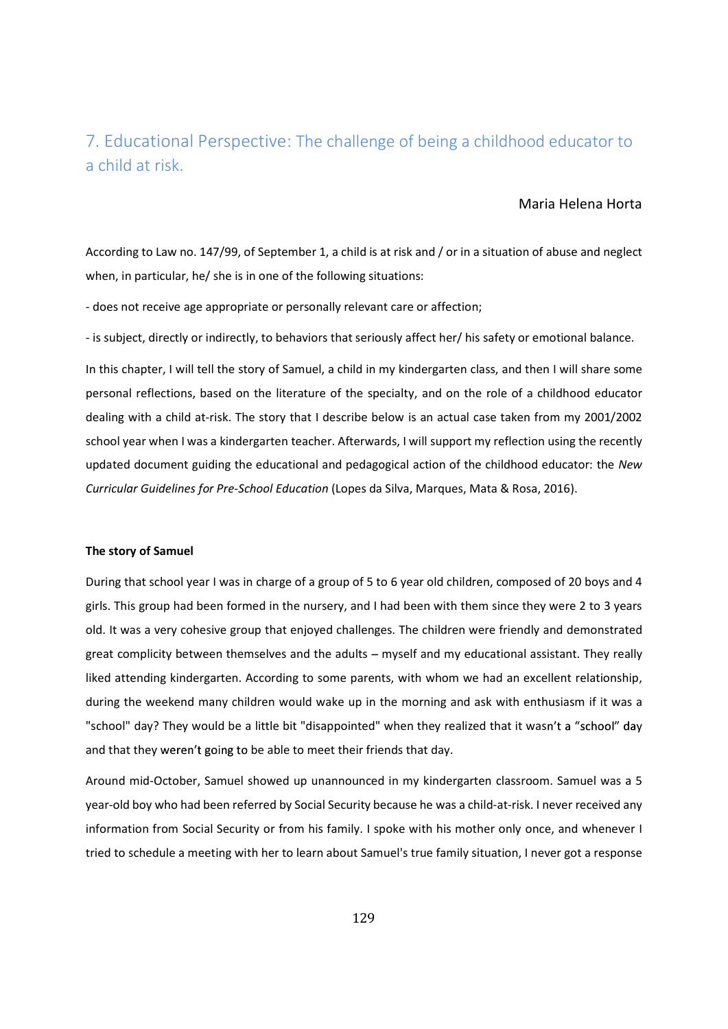# 7. Educational Perspective: The challenge of being a childhood educator to a child at risk. 7. Educational Perspective: The challenge of being a childhood edu<br>a child at risk.<br>**Maria He**<br>According to Law no. 147/99, of September 1, a child is at risk and / or in a situation of abus<br>when, in particular, he/ she is

# Maria Helena Horta

According to Law no. 147/99, of September 1, a child is at risk and / or in a situation of abuse and neglect when, in particular, he/ she is in one of the following situations:

- is subject, directly or indirectly, to behaviors that seriously affect her/ his safety or emotional balance.

In this chapter, I will tell the story of Samuel, a child in my kindergarten class, and then I will share some personal reflections, based on the literature of the specialty, and on the role of a childhood educator dealing with a child at-risk. The story that I describe below is an actual case taken from my 2001/2002 school year when I was a kindergarten teacher. Afterwards, I will support my reflection using the recently updated document guiding the educational and pedagogical action of the childhood educator: the New Curricular Guidelines for Pre-School Education (Lopes da Silva, Marques, Mata & Rosa, 2016).

### The story of Samuel

During that school year I was in charge of a group of 5 to 6 year old children, composed of 20 boys and 4 girls. This group had been formed in the nursery, and I had been with them since they were 2 to 3 years old. It was a very cohesive group that enjoyed challenges. The children were friendly and demonstrated great complicity between themselves and the adults – myself and my educational assistant. They really liked attending kindergarten. According to some parents, with whom we had an excellent relationship, during the weekend many children would wake up in the morning and ask with enthusiasm if it was a "school" day? They would be a little bit "disappointed" when they realized that it wasn't a "school" day and that they weren't going to be able to meet their friends that day.

Around mid-October, Samuel showed up unannounced in my kindergarten classroom. Samuel was a 5 year-old boy who had been referred by Social Security because he was a child-at-risk. I never received any information from Social Security or from his family. I spoke with his mother only once, and whenever I tried to schedule a meeting with her to learn about Samuel's true family situation, I never got a response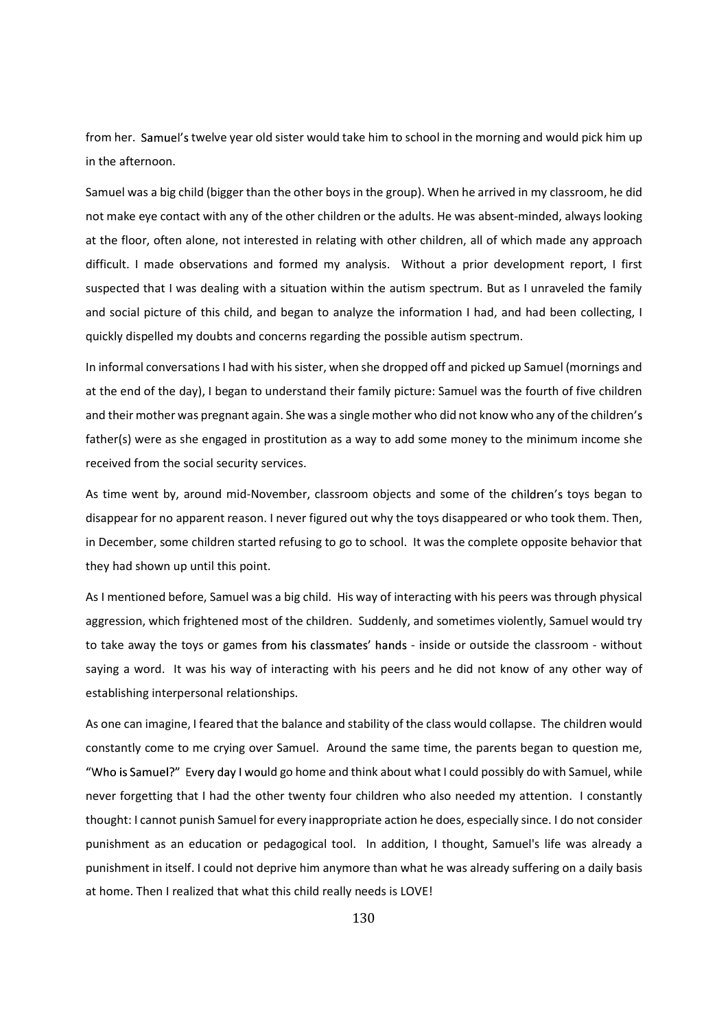from her. Samuel's twelve year old sister would take him to school in the morning and would pick him up in the afternoon.

Samuel was a big child (bigger than the other boys in the group). When he arrived in my classroom, he did not make eye contact with any of the other children or the adults. He was absent-minded, always looking at the floor, often alone, not interested in relating with other children, all of which made any approach difficult. I made observations and formed my analysis. Without a prior development report, I first suspected that I was dealing with a situation within the autism spectrum. But as I unraveled the family and social picture of this child, and began to analyze the information I had, and had been collecting, I quickly dispelled my doubts and concerns regarding the possible autism spectrum.

In informal conversations I had with his sister, when she dropped off and picked up Samuel (mornings and at the end of the day), I began to understand their family picture: Samuel was the fourth of five children and their mother was pregnant again. She was a single mother who did not know who any of the children's father(s) were as she engaged in prostitution as a way to add some money to the minimum income she received from the social security services.

As time went by, around mid-November, classroom objects and some of the children's toys began to disappear for no apparent reason. I never figured out why the toys disappeared or who took them. Then, in December, some children started refusing to go to school. It was the complete opposite behavior that they had shown up until this point.

As I mentioned before, Samuel was a big child. His way of interacting with his peers was through physical aggression, which frightened most of the children. Suddenly, and sometimes violently, Samuel would try to take away the toys or games from his classmates' hands - inside or outside the classroom - without saying a word. It was his way of interacting with his peers and he did not know of any other way of establishing interpersonal relationships.

As one can imagine, I feared that the balance and stability of the class would collapse. The children would constantly come to me crying over Samuel. Around the same time, the parents began to question me, "Who is Samuel?" Every day I would go home and think about what I could possibly do with Samuel, while never forgetting that I had the other twenty four children who also needed my attention. I constantly thought: I cannot punish Samuel for every inappropriate action he does, especially since. I do not consider punishment as an education or pedagogical tool. In addition, I thought, Samuel's life was already a punishment in itself. I could not deprive him anymore than what he was already suffering on a daily basis at home. Then I realized that what this child really needs is LOVE!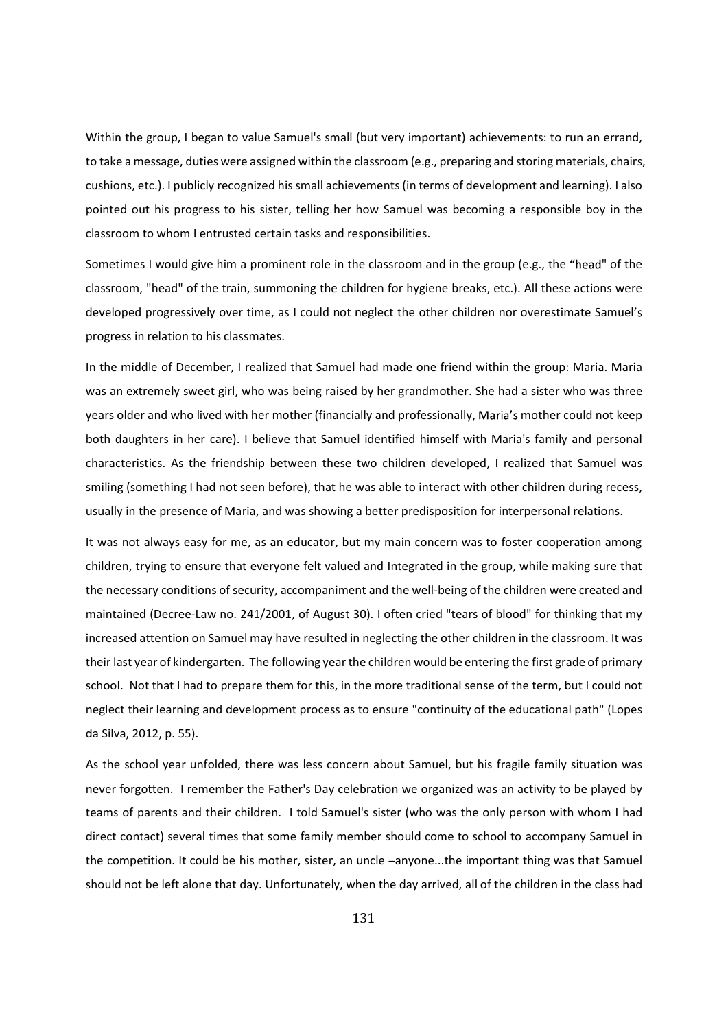Within the group, I began to value Samuel's small (but very important) achievements: to run an errand, to take a message, duties were assigned within the classroom (e.g., preparing and storing materials, chairs, cushions, etc.). I publicly recognized his small achievements (in terms of development and learning). I also pointed out his progress to his sister, telling her how Samuel was becoming a responsible boy in the classroom to whom I entrusted certain tasks and responsibilities.

Sometimes I would give him a prominent role in the classroom and in the group (e.g., the "head" of the classroom, "head" of the train, summoning the children for hygiene breaks, etc.). All these actions were developed progressively over time, as I could not neglect the other children nor overestimate Samuel's progress in relation to his classmates.

In the middle of December, I realized that Samuel had made one friend within the group: Maria. Maria was an extremely sweet girl, who was being raised by her grandmother. She had a sister who was three years older and who lived with her mother (financially and professionally, mother could not keep both daughters in her care). I believe that Samuel identified himself with Maria's family and personal characteristics. As the friendship between these two children developed, I realized that Samuel was smiling (something I had not seen before), that he was able to interact with other children during recess, usually in the presence of Maria, and was showing a better predisposition for interpersonal relations.

It was not always easy for me, as an educator, but my main concern was to foster cooperation among children, trying to ensure that everyone felt valued and Integrated in the group, while making sure that the necessary conditions of security, accompaniment and the well-being of the children were created and maintained (Decree-Law no. 241/2001, of August 30). I often cried "tears of blood" for thinking that my increased attention on Samuel may have resulted in neglecting the other children in the classroom. It was their last year of kindergarten. The following year the children would be entering the first grade of primary school. Not that I had to prepare them for this, in the more traditional sense of the term, but I could not neglect their learning and development process as to ensure "continuity of the educational path" (Lopes da Silva, 2012, p. 55).

As the school year unfolded, there was less concern about Samuel, but his fragile family situation was never forgotten. I remember the Father's Day celebration we organized was an activity to be played by teams of parents and their children. I told Samuel's sister (who was the only person with whom I had direct contact) several times that some family member should come to school to accompany Samuel in the competition. It could be his mother, sister, an uncle -anyone...the important thing was that Samuel should not be left alone that day. Unfortunately, when the day arrived, all of the children in the class had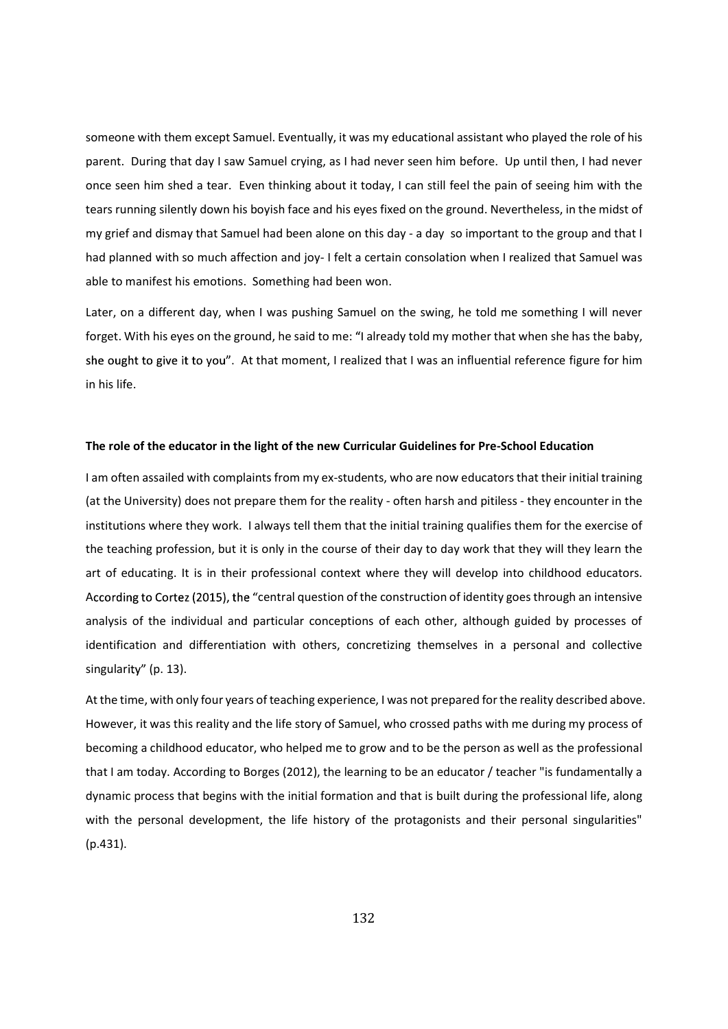someone with them except Samuel. Eventually, it was my educational assistant who played the role of his parent. During that day I saw Samuel crying, as I had never seen him before. Up until then, I had never once seen him shed a tear. Even thinking about it today, I can still feel the pain of seeing him with the tears running silently down his boyish face and his eyes fixed on the ground. Nevertheless, in the midst of my grief and dismay that Samuel had been alone on this day - a day so important to the group and that I had planned with so much affection and joy- I felt a certain consolation when I realized that Samuel was able to manifest his emotions. Something had been won.

Later, on a different day, when I was pushing Samuel on the swing, he told me something I will never forget. With his eyes on the ground, he said to me: "I already told my mother that when she has the baby, she ought to give it to you". At that moment, I realized that I was an influential reference figure for him in his life.

# The role of the educator in the light of the new Curricular Guidelines for Pre-School Education

I am often assailed with complaints from my ex-students, who are now educators that their initial training (at the University) does not prepare them for the reality - often harsh and pitiless - they encounter in the institutions where they work. I always tell them that the initial training qualifies them for the exercise of the teaching profession, but it is only in the course of their day to day work that they will they learn the art of educating. It is in their professional context where they will develop into childhood educators. According to Cortez (2015), the "central question of the construction of identity goes through an intensive analysis of the individual and particular conceptions of each other, although guided by processes of identification and differentiation with others, concretizing themselves in a personal and collective singularity" (p. 13).

At the time, with only four years of teaching experience, I was not prepared for the reality described above. However, it was this reality and the life story of Samuel, who crossed paths with me during my process of becoming a childhood educator, who helped me to grow and to be the person as well as the professional that I am today. According to Borges (2012), the learning to be an educator / teacher "is fundamentally a dynamic process that begins with the initial formation and that is built during the professional life, along with the personal development, the life history of the protagonists and their personal singularities" (p.431).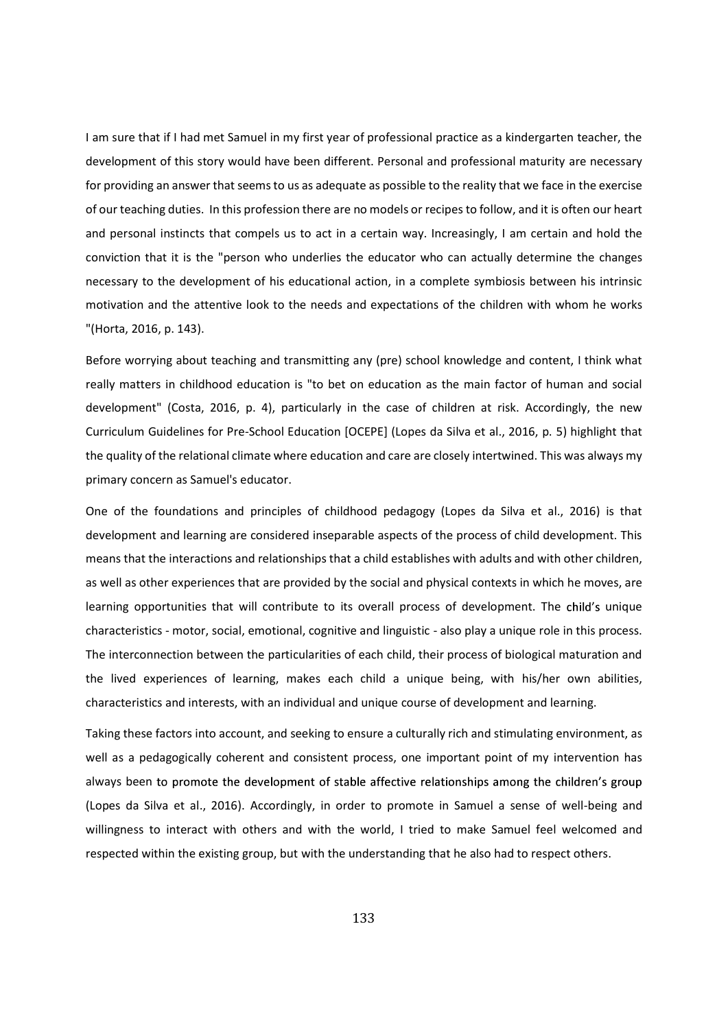I am sure that if I had met Samuel in my first year of professional practice as a kindergarten teacher, the development of this story would have been different. Personal and professional maturity are necessary for providing an answer that seems to us as adequate as possible to the reality that we face in the exercise of our teaching duties. In this profession there are no models or recipes to follow, and it is often our heart and personal instincts that compels us to act in a certain way. Increasingly, I am certain and hold the conviction that it is the "person who underlies the educator who can actually determine the changes necessary to the development of his educational action, in a complete symbiosis between his intrinsic motivation and the attentive look to the needs and expectations of the children with whom he works "(Horta, 2016, p. 143).

Before worrying about teaching and transmitting any (pre) school knowledge and content, I think what really matters in childhood education is "to bet on education as the main factor of human and social development" (Costa, 2016, p. 4), particularly in the case of children at risk. Accordingly, the new Curriculum Guidelines for Pre-School Education [OCEPE] (Lopes da Silva et al., 2016, p. 5) highlight that the quality of the relational climate where education and care are closely intertwined. This was always my primary concern as Samuel's educator.

One of the foundations and principles of childhood pedagogy (Lopes da Silva et al., 2016) is that development and learning are considered inseparable aspects of the process of child development. This means that the interactions and relationships that a child establishes with adults and with other children, as well as other experiences that are provided by the social and physical contexts in which he moves, are learning opportunities that will contribute to its overall process of development. The child's unique characteristics - motor, social, emotional, cognitive and linguistic - also play a unique role in this process. The interconnection between the particularities of each child, their process of biological maturation and the lived experiences of learning, makes each child a unique being, with his/her own abilities, characteristics and interests, with an individual and unique course of development and learning.

Taking these factors into account, and seeking to ensure a culturally rich and stimulating environment, as well as a pedagogically coherent and consistent process, one important point of my intervention has always been to promote the development of stable affective relationships among the children's group (Lopes da Silva et al., 2016). Accordingly, in order to promote in Samuel a sense of well-being and willingness to interact with others and with the world, I tried to make Samuel feel welcomed and respected within the existing group, but with the understanding that he also had to respect others.